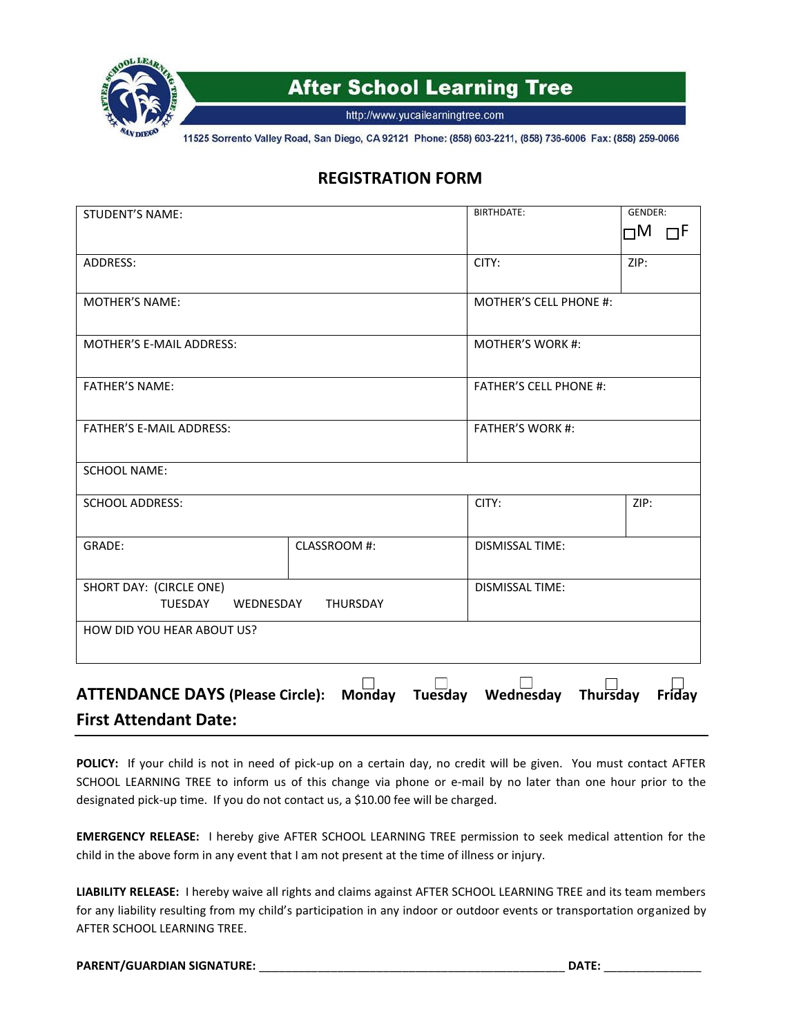

http://www.yucailearningtree.com

11525 Sorrento Valley Road, San Diego, CA 92121 Phone: (858) 603-2211, (858) 736-6006 Fax: (858) 259-0066

### **REGISTRATION FORM**

| <b>STUDENT'S NAME:</b>                                             |              | BIRTHDATE:                    | GENDER:           |
|--------------------------------------------------------------------|--------------|-------------------------------|-------------------|
|                                                                    |              |                               | $\Box$ M $\Box$ F |
| ADDRESS:                                                           |              | CITY:                         | ZIP:              |
| <b>MOTHER'S NAME:</b>                                              |              | <b>MOTHER'S CELL PHONE #:</b> |                   |
| MOTHER'S E-MAIL ADDRESS:                                           |              | <b>MOTHER'S WORK #:</b>       |                   |
| <b>FATHER'S NAME:</b>                                              |              | <b>FATHER'S CELL PHONE #:</b> |                   |
| <b>FATHER'S E-MAIL ADDRESS:</b>                                    |              | <b>FATHER'S WORK #:</b>       |                   |
| <b>SCHOOL NAME:</b>                                                |              |                               |                   |
| <b>SCHOOL ADDRESS:</b>                                             |              | CITY:                         | ZIP:              |
| GRADE:                                                             | CLASSROOM #: | <b>DISMISSAL TIME:</b>        |                   |
| SHORT DAY: (CIRCLE ONE)<br>TUESDAY<br>WEDNESDAY<br>THURSDAY        |              | <b>DISMISSAL TIME:</b>        |                   |
| HOW DID YOU HEAR ABOUT US?                                         |              |                               |                   |
|                                                                    |              |                               |                   |
| ATTENDANCE DAYS (Please Circle): Monday Tuesday Wednesday Thursday |              |                               | Friday            |
| <b>First Attendant Date:</b>                                       |              |                               |                   |

**POLICY:** If your child is not in need of pick-up on a certain day, no credit will be given. You must contact AFTER SCHOOL LEARNING TREE to inform us of this change via phone or e-mail by no later than one hour prior to the designated pick-up time. If you do not contact us, a \$10.00 fee will be charged.

**EMERGENCY RELEASE:** I hereby give AFTER SCHOOL LEARNING TREE permission to seek medical attention for the child in the above form in any event that I am not present at the time of illness or injury.

**LIABILITY RELEASE:** I hereby waive all rights and claims against AFTER SCHOOL LEARNING TREE and its team members for any liability resulting from my child's participation in any indoor or outdoor events or transportation organized by AFTER SCHOOL LEARNING TREE.

#### **PARENT/GUARDIAN SIGNATURE:** \_\_\_\_\_\_\_\_\_\_\_\_\_\_\_\_\_\_\_\_\_\_\_\_\_\_\_\_\_\_\_\_\_\_\_\_\_\_\_\_\_\_\_\_\_\_\_ **DATE:** \_\_\_\_\_\_\_\_\_\_\_\_\_\_\_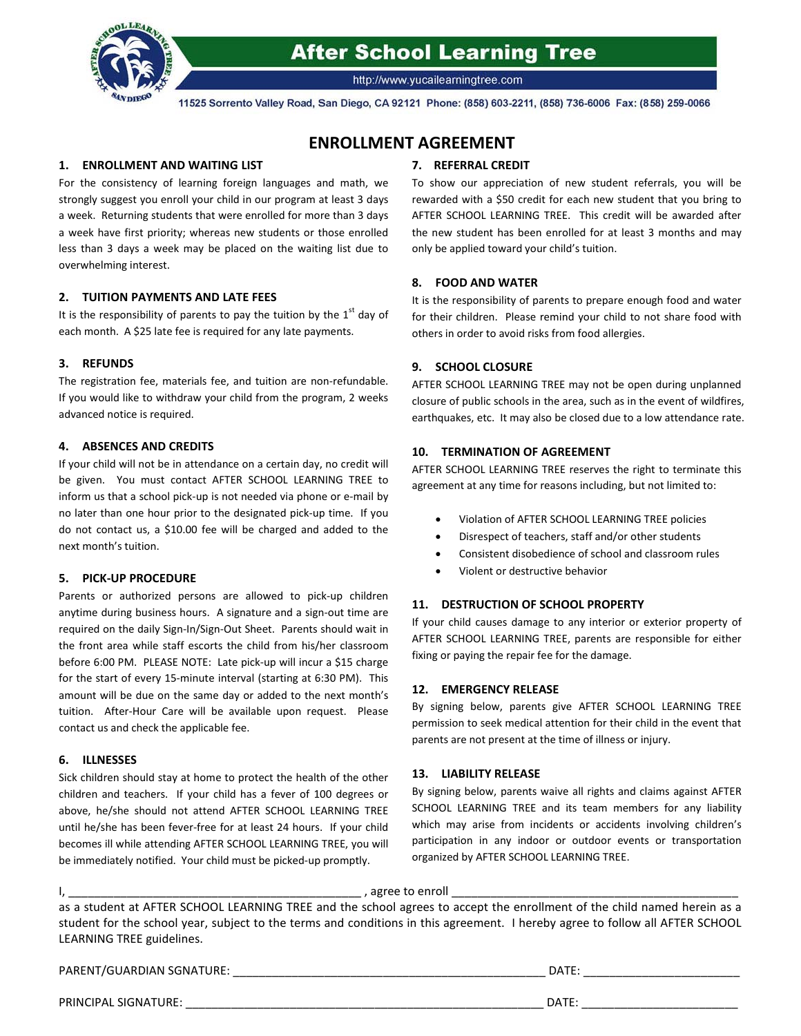

http://www.yucailearningtree.com

11525 Sorrento Valley Road, San Diego, CA 92121 Phone: (858) 603-2211, (858) 736-6006 Fax: (858) 259-0066

### **ENROLLMENT AGREEMENT**

#### **1. ENROLLMENT AND WAITING LIST**

For the consistency of learning foreign languages and math, we strongly suggest you enroll your child in our program at least 3 days a week. Returning students that were enrolled for more than 3 days a week have first priority; whereas new students or those enrolled less than 3 days a week may be placed on the waiting list due to overwhelming interest.

#### **2. TUITION PAYMENTS AND LATE FEES**

It is the responsibility of parents to pay the tuition by the  $1<sup>st</sup>$  day of each month. A \$25 late fee is required for any late payments.

#### **3. REFUNDS**

The registration fee, materials fee, and tuition are non-refundable. If you would like to withdraw your child from the program, 2 weeks advanced notice is required.

#### **4. ABSENCES AND CREDITS**

If your child will not be in attendance on a certain day, no credit will be given. You must contact AFTER SCHOOL LEARNING TREE to inform us that a school pick-up is not needed via phone or e-mail by no later than one hour prior to the designated pick-up time. If you do not contact us, a \$10.00 fee will be charged and added to the next month's tuition.

#### **5. PICK-UP PROCEDURE**

Parents or authorized persons are allowed to pick-up children anytime during business hours. A signature and a sign-out time are required on the daily Sign-In/Sign-Out Sheet. Parents should wait in the front area while staff escorts the child from his/her classroom before 6:00 PM. PLEASE NOTE: Late pick-up will incur a \$15 charge for the start of every 15-minute interval (starting at 6:30 PM). This amount will be due on the same day or added to the next month's tuition. After-Hour Care will be available upon request. Please contact us and check the applicable fee.

#### **6. ILLNESSES**

Sick children should stay at home to protect the health of the other children and teachers. If your child has a fever of 100 degrees or above, he/she should not attend AFTER SCHOOL LEARNING TREE until he/she has been fever-free for at least 24 hours. If your child becomes ill while attending AFTER SCHOOL LEARNING TREE, you will be immediately notified. Your child must be picked-up promptly.

#### **7. REFERRAL CREDIT**

To show our appreciation of new student referrals, you will be rewarded with a \$50 credit for each new student that you bring to AFTER SCHOOL LEARNING TREE. This credit will be awarded after the new student has been enrolled for at least 3 months and may only be applied toward your child's tuition.

#### **8. FOOD AND WATER**

It is the responsibility of parents to prepare enough food and water for their children. Please remind your child to not share food with others in order to avoid risks from food allergies.

#### **9. SCHOOL CLOSURE**

AFTER SCHOOL LEARNING TREE may not be open during unplanned closure of public schools in the area, such as in the event of wildfires, earthquakes, etc. It may also be closed due to a low attendance rate.

#### **10. TERMINATION OF AGREEMENT**

AFTER SCHOOL LEARNING TREE reserves the right to terminate this agreement at any time for reasons including, but not limited to:

- Violation of AFTER SCHOOL LEARNING TREE policies
- Disrespect of teachers, staff and/or other students
- Consistent disobedience of school and classroom rules
- Violent or destructive behavior

#### **11. DESTRUCTION OF SCHOOL PROPERTY**

If your child causes damage to any interior or exterior property of AFTER SCHOOL LEARNING TREE, parents are responsible for either fixing or paying the repair fee for the damage.

#### **12. EMERGENCY RELEASE**

By signing below, parents give AFTER SCHOOL LEARNING TREE permission to seek medical attention for their child in the event that parents are not present at the time of illness or injury.

#### **13. LIABILITY RELEASE**

By signing below, parents waive all rights and claims against AFTER SCHOOL LEARNING TREE and its team members for any liability which may arise from incidents or accidents involving children's participation in any indoor or outdoor events or transportation organized by AFTER SCHOOL LEARNING TREE.

#### I, \_\_\_\_\_\_\_\_\_\_\_\_\_\_\_\_\_\_\_\_\_\_\_\_\_\_\_\_\_\_\_\_\_\_\_\_\_\_\_\_\_\_\_\_\_ , agree to enroll \_\_\_\_\_\_\_\_\_\_\_\_\_\_\_\_\_\_\_\_\_\_\_\_\_\_\_\_\_\_\_\_\_\_\_\_\_\_\_\_\_\_\_\_

as a student at AFTER SCHOOL LEARNING TREE and the school agrees to accept the enrollment of the child named herein as a student for the school year, subject to the terms and conditions in this agreement. I hereby agree to follow all AFTER SCHOOL LEARNING TREE guidelines.

PARENT/GUARDIAN SGNATURE: \_\_\_\_\_\_\_\_\_\_\_\_\_\_\_\_\_\_\_\_\_\_\_\_\_\_\_\_\_\_\_\_\_\_\_\_\_\_\_\_\_\_\_\_\_\_\_\_ DATE: \_\_\_\_\_\_\_\_\_\_\_\_\_\_\_\_\_\_\_\_\_\_\_\_

PRINCIPAL SIGNATURE: \_\_\_\_\_\_\_\_\_\_\_\_\_\_\_\_\_\_\_\_\_\_\_\_\_\_\_\_\_\_\_\_\_\_\_\_\_\_\_\_\_\_\_\_\_\_\_\_\_\_\_\_\_\_\_ DATE: \_\_\_\_\_\_\_\_\_\_\_\_\_\_\_\_\_\_\_\_\_\_\_\_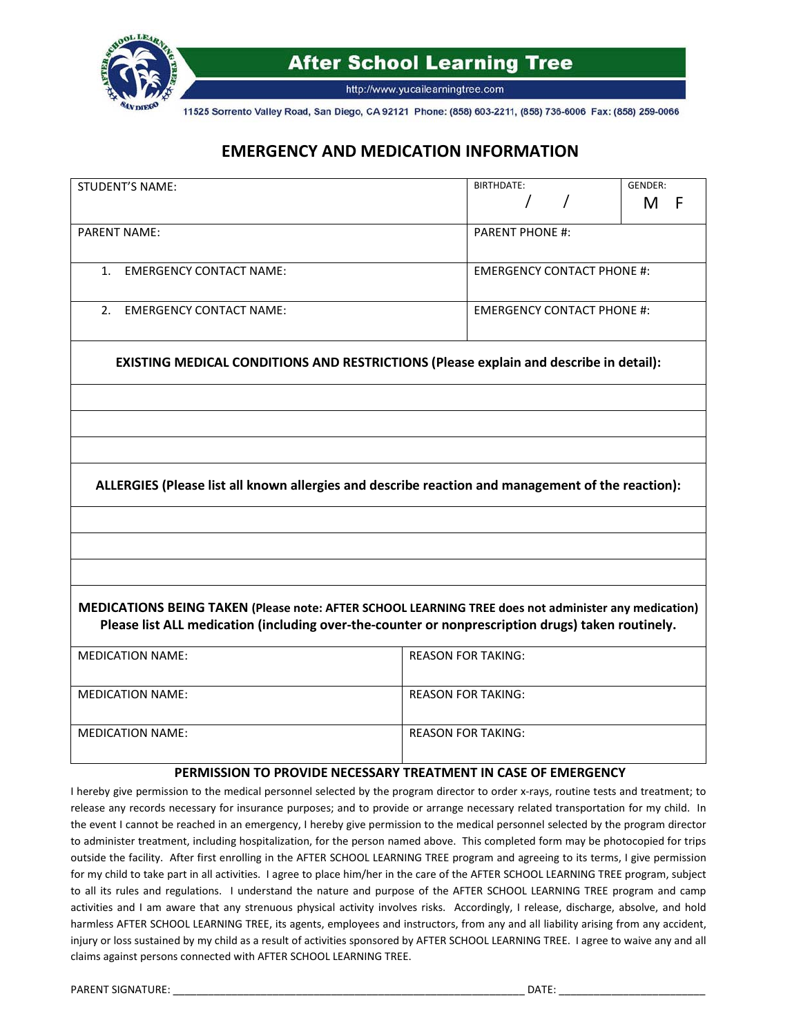

http://www.yucailearningtree.com

11525 Sorrento Valley Road, San Diego, CA 92121 Phone: (858) 603-2211, (858) 736-6006 Fax: (858) 259-0066

### **EMERGENCY AND MEDICATION INFORMATION**

| <b>STUDENT'S NAME:</b>                                                                                                                                                                                    | BIRTHDATE:<br><b>GENDER:</b>                                                                      |  |  |  |
|-----------------------------------------------------------------------------------------------------------------------------------------------------------------------------------------------------------|---------------------------------------------------------------------------------------------------|--|--|--|
|                                                                                                                                                                                                           | M<br>F                                                                                            |  |  |  |
| <b>PARENT NAME:</b>                                                                                                                                                                                       | <b>PARENT PHONE #:</b>                                                                            |  |  |  |
| <b>EMERGENCY CONTACT NAME:</b><br>$1_{-}$                                                                                                                                                                 | <b>EMERGENCY CONTACT PHONE #:</b>                                                                 |  |  |  |
| 2. EMERGENCY CONTACT NAME:                                                                                                                                                                                | <b>EMERGENCY CONTACT PHONE #:</b>                                                                 |  |  |  |
|                                                                                                                                                                                                           | EXISTING MEDICAL CONDITIONS AND RESTRICTIONS (Please explain and describe in detail):             |  |  |  |
|                                                                                                                                                                                                           |                                                                                                   |  |  |  |
|                                                                                                                                                                                                           |                                                                                                   |  |  |  |
|                                                                                                                                                                                                           |                                                                                                   |  |  |  |
|                                                                                                                                                                                                           | ALLERGIES (Please list all known allergies and describe reaction and management of the reaction): |  |  |  |
|                                                                                                                                                                                                           |                                                                                                   |  |  |  |
|                                                                                                                                                                                                           |                                                                                                   |  |  |  |
|                                                                                                                                                                                                           |                                                                                                   |  |  |  |
| MEDICATIONS BEING TAKEN (Please note: AFTER SCHOOL LEARNING TREE does not administer any medication)<br>Please list ALL medication (including over-the-counter or nonprescription drugs) taken routinely. |                                                                                                   |  |  |  |
| <b>MEDICATION NAME:</b>                                                                                                                                                                                   | <b>REASON FOR TAKING:</b>                                                                         |  |  |  |
| <b>MEDICATION NAME:</b>                                                                                                                                                                                   | <b>REASON FOR TAKING:</b>                                                                         |  |  |  |
| <b>MEDICATION NAME:</b>                                                                                                                                                                                   | <b>REASON FOR TAKING:</b>                                                                         |  |  |  |
|                                                                                                                                                                                                           | PERMISSION TO PROVIDE NECESSARY TREATMENT IN CASE OF EMERGENCY                                    |  |  |  |

I hereby give permission to the medical personnel selected by the program director to order x-rays, routine tests and treatment; to release any records necessary for insurance purposes; and to provide or arrange necessary related transportation for my child. In the event I cannot be reached in an emergency, I hereby give permission to the medical personnel selected by the program director to administer treatment, including hospitalization, for the person named above. This completed form may be photocopied for trips outside the facility. After first enrolling in the AFTER SCHOOL LEARNING TREE program and agreeing to its terms, I give permission for my child to take part in all activities. I agree to place him/her in the care of the AFTER SCHOOL LEARNING TREE program, subject to all its rules and regulations. I understand the nature and purpose of the AFTER SCHOOL LEARNING TREE program and camp activities and I am aware that any strenuous physical activity involves risks. Accordingly, I release, discharge, absolve, and hold harmless AFTER SCHOOL LEARNING TREE, its agents, employees and instructors, from any and all liability arising from any accident, injury or loss sustained by my child as a result of activities sponsored by AFTER SCHOOL LEARNING TREE. I agree to waive any and all claims against persons connected with AFTER SCHOOL LEARNING TREE.